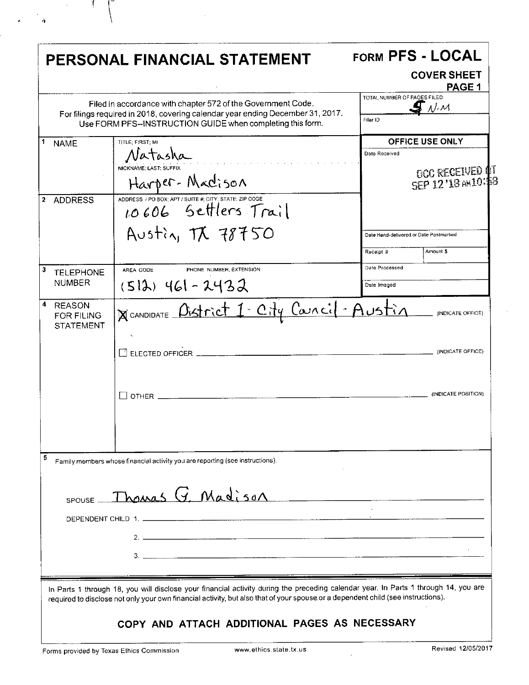|                                                             | PERSONAL FINANCIAL STATEMENT                                                                                                                                                                                                                                                                                             |                               | FORM PFS - LOCAL<br><b>COVER SHEET</b><br><b>PAGE 1</b>               |
|-------------------------------------------------------------|--------------------------------------------------------------------------------------------------------------------------------------------------------------------------------------------------------------------------------------------------------------------------------------------------------------------------|-------------------------------|-----------------------------------------------------------------------|
|                                                             | Filed in accordance with chapter 572 of the Government Code.<br>For filings required in 2018, covering calendar year ending December 31, 2017.<br>Use FORM PFS--INSTRUCTION GUIDE when completing this form.                                                                                                             | Filer ID                      | TOTAL NUMBER OF PAGES FILED:<br>$\Lambda^{f_i}$ $M$                   |
| 1<br><b>NAME</b>                                            | TITLE: FIRST: MI<br>Natasha<br>NICKNAME: LAST: SUFFIX<br>Harper-Madison                                                                                                                                                                                                                                                  | Date Received                 | <b>OFFICE USE ONLY</b><br><b>DOC RECEIVED 4T</b><br>SEP 12'18 AM10:58 |
| <b>ADDRESS</b><br>2                                         | ADDRESS / PO BOX; APT / SUITE #; CITY; STATE; ZIP CODE<br>10606 Settlers Trail<br>Austin, TX 78750                                                                                                                                                                                                                       | Receipt #                     | Date Hand-delivered or Date Postmarked<br>Amount \$                   |
| 3<br><b>TELEPHONE</b><br><b>NUMBER</b>                      | AREA CODE<br>PHONE NUMBER, EXTENSION<br>$(512)$ 461 - 2432                                                                                                                                                                                                                                                               | Date Processed<br>Date Imaged |                                                                       |
| 4<br><b>REASON</b><br><b>FOR FILING</b><br><b>STATEMENT</b> | NCANDIDATE Oistrict 1. City Caracil Austin<br>$\Box$ ELECTED OFFICER<br>$OTHER$ $\qquad \qquad$                                                                                                                                                                                                                          |                               | (INDICATE OFFICE)<br>(INDICATE OFFICE)<br>(INDICATE POSITION)         |
| 5                                                           | Family members whose financial activity you are reporting (see instructions).<br>$SPOUSE$ Thomas $G$ , Madison                                                                                                                                                                                                           |                               |                                                                       |
|                                                             | In Parts 1 through 18, you will disclose your financial activity during the preceding calendar year. In Parts 1 through 14, you are<br>required to disclose not only your own financial activity, but also that of your spouse or a dependent child (see instructions).<br>COPY AND ATTACH ADDITIONAL PAGES AS NECESSARY |                               |                                                                       |

 $\label{eq:2.1} \frac{1}{\sqrt{2}}\int_{0}^{\infty}\frac{1}{\sqrt{2\pi}}\left(\frac{1}{\sqrt{2}}\right)^{2}d\mu_{\rm{eff}}\,.$ 

 $\bar{L}$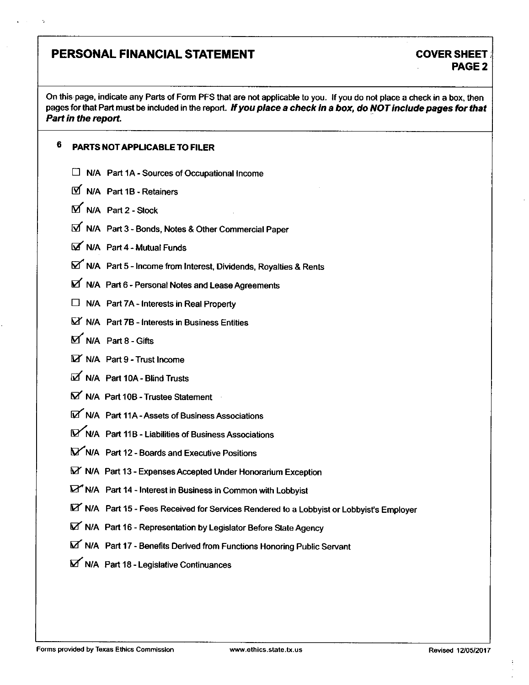### PERSONAL FINANCIAL STATEMENT COVER SHEET

# PAGE 2

On this page, indicate any Parts of Form PFS that are not applicable to you. If you do not place a check in a box, then pages for that Part must be included in the report. If you place a check in a box, do NOT include pages for that Part in the report.

### 6 PARTS NOT APPLICABLE TO FILER

- $\Box$  N/A Part 1A Sources of Occupational Income
- N/A Part 1B-Retainers
- M N/A Part 2 Stock
- N/A Part 3 Bonds, Notes & Other Commercial Paper
- M/A Part 4 Mutual Funds
- N/A Part 5 Income from Interest, Dividends, Royalties & Rents
- $\boxtimes$  N/A Part 6 Personal Notes and Lease Agreements
- $\Box$  N/A Part 7A Interests in Real Property
- $\boxtimes'$  N/A Part 7B Interests in Business Entities
- $M$  N/A Part 8 Gifts
- E N/A Part 9 Trust Income
- M/A Part 10A Blind Trusts
- $\boldsymbol{\nabla}$  N/A Part 10B Trustee Statement
- N/A Part 11A Assets of Business Associations
- ^/A Part 11B Liabilities of Business Associations
- B^N/A Part 12 Boards and Executive Positions
- S3' N/A Part 13 Expenses Accepted Under Honorarium Exception
- ^ N/A Part 14 Interest in Business in Common with Lobbyist
- N/A Part 15 Fees Received for Services Rendered to a Lobbyist or Lobbyist's Employer
- N/A Part 16 Representation by Legislator Before State Agency
- N/A Part 17 Benefits Derived from Functions Honoring Public Servant
- N/A Part 18 Legislative Continuances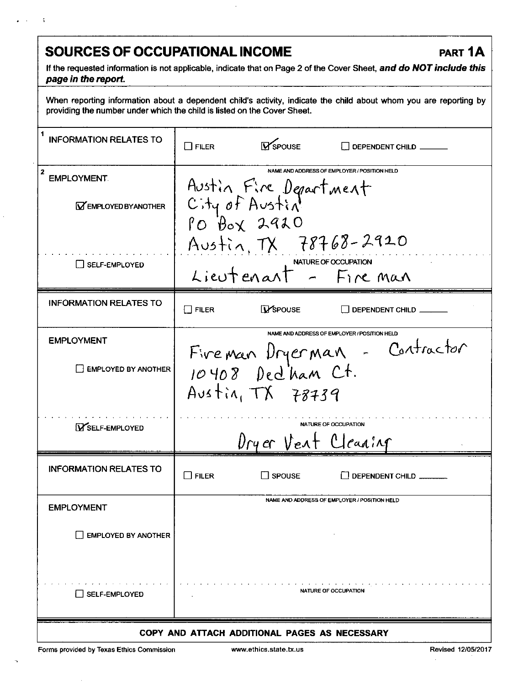## **SOURCES OF OCCUPATIONAL INCOME PART 1A**

**If the requested information is not applicable, indicate that on Page 2 of the Cover Sheet, and do NOT include this page in the report.** 

When reporting information about a dependent child's activity, indicate the child about whom you are reporting by providing the number under which the child is listed on the Cover Sheet.

| <b>INFORMATION RELATES TO</b>                                        | $\Box$ Filer    | <b>V</b> SPOUSE        | DEPENDENT CHILD                                                               |  |
|----------------------------------------------------------------------|-----------------|------------------------|-------------------------------------------------------------------------------|--|
| $\boldsymbol{z}$<br><b>EMPLOYMENT</b><br><b>MEMPLOYED BY ANOTHER</b> | City of Austin  | Austin Fire Department | NAME AND ADDRESS OF EMPLOYER / POSITION HELD                                  |  |
| <b>I I SELF-EMPLOYED</b>                                             |                 |                        | Austin, TX 78768-2920<br>Lieutenant - Fire man                                |  |
| <b>INFORMATION RELATES TO</b>                                        | $\square$ filer | <b>I</b> SPOUSE        | $\Box$ Dependent child $\Box$                                                 |  |
| <b>EMPLOYMENT</b><br><b>EMPLOYED BY ANOTHER</b>                      |                 | Austin, $TX$ 78739     | NAME AND ADDRESS OF EMPLOYER / POSITION HELD<br>Fivemen Dryerman - Contractor |  |
| <b>YSELF-EMPLOYED</b>                                                |                 | Dryer Vent Cleaning    | NATURE OF OCCUPATION                                                          |  |
| <b>INFORMATION RELATES TO</b>                                        | <b>FILER</b>    | $\Box$ SPOUSE          | DEPENDENT CHILD                                                               |  |
| <b>EMPLOYMENT</b>                                                    |                 |                        | NAME AND ADDRESS OF EMPLOYER / POSITION HELD                                  |  |
| <b>EMPLOYED BY ANOTHER</b>                                           |                 |                        |                                                                               |  |
| <b>SELF-EMPLOYED</b>                                                 |                 |                        | <b>NATURE OF OCCUPATION</b>                                                   |  |
| COPY AND ATTACH ADDITIONAL PAGES AS NECESSARY                        |                 |                        |                                                                               |  |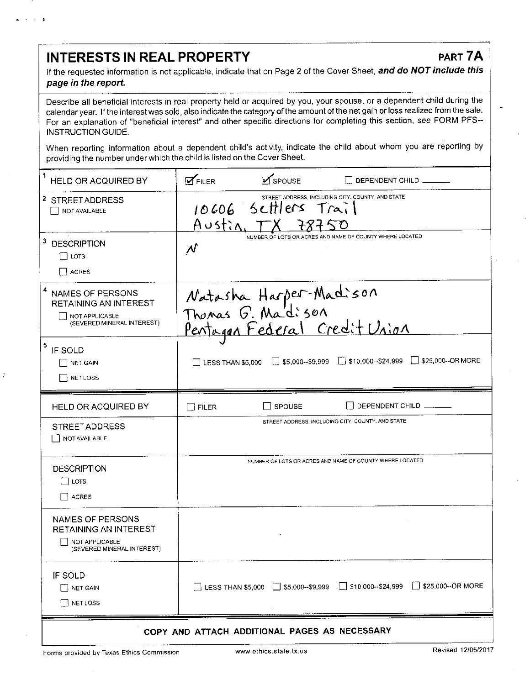### INTERESTS IN REAL PROPERTY PART 7A

If the requested information is not applicable, indicate that on Page 2 of the Cover Sheet, and do NOT include this page in the report.

Describe all beneficial interests in real property held or acquired by you, your spouse, or a dependent child during the calendar year. If the interest was sold, also indicate the category of the amount of the net gain or loss realized from the sale. For an explanation of "beneficial interest" and other specific directions for completing this section, see FORM PFS-INSTRUCTION GUIDE.

When reporting information about a dependent child's activity, indicate the child about whom you are reporting by providing the number under which the child is listed on the Cover Sheet.

| 1<br><b>HELD OR ACQUIRED BY</b>                                                                       | $\mathbf{z}$ spouse<br>$\mathbf{M}$ FILER<br>DEPENDENT CHILD                                             |  |  |
|-------------------------------------------------------------------------------------------------------|----------------------------------------------------------------------------------------------------------|--|--|
| <sup>2</sup> STREETADDRESS<br>NOT AVAILABLE                                                           | STREET ADDRESS, INCLUDING CITY, COUNTY, AND STATE<br>10606 Settlers Trail<br>$A \cup s \nmid \lambda, T$ |  |  |
| 3<br><b>DESCRIPTION</b><br>i Lots<br><b>ACRES</b>                                                     | NUMBER OF LOTS OR ACRES AND NAME OF COUNTY WHERE LOCATED<br>$\mathcal N$                                 |  |  |
| 4<br><b>NAMES OF PERSONS</b><br>RETAINING AN INTEREST<br>NOT APPLICABLE<br>(SEVERED MINERAL INTEREST) | Natasha Harper-Madison<br>Thomas G. Madison<br>Pentaggn Federal Credit Union                             |  |  |
| 5<br>IF SOLD<br><b>NET GAIN</b><br><b>NETLOSS</b>                                                     | $\Box$ \$5,000--\$9,999 $\Box$ \$10,000--\$24,999<br>$\Box$ \$25,000--OR MORE<br>LESS THAN \$5,000       |  |  |
| HELD OR ACQUIRED BY                                                                                   | DEPENDENT CHILD<br>SPOUSE<br>$\Box$ filer                                                                |  |  |
| <b>STREET ADDRESS</b><br><b>NOT AVAILABLE</b>                                                         | STREET ADDRESS, INCLUDING CITY, COUNTY, AND STATE                                                        |  |  |
| <b>DESCRIPTION</b><br>LOTS<br><b>ACRES</b>                                                            | NUMBER OF LOTS OR ACRES AND NAME OF COUNTY WHERE LOCATED                                                 |  |  |
| NAMES OF PERSONS<br>RETAINING AN INTEREST<br>NOT APPLICABLE<br>(SEVERED MINERAL INTEREST)             |                                                                                                          |  |  |
| IF SOLD<br>$\Box$ NET GAIN<br><b>NET LOSS</b>                                                         |                                                                                                          |  |  |
| COPY AND ATTACH ADDITIONAL PAGES AS NECESSARY                                                         |                                                                                                          |  |  |